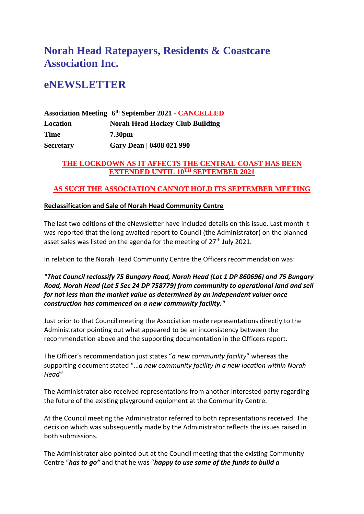# **Norah Head Ratepayers, Residents & Coastcare Association Inc.**

# **eNEWSLETTER**

|                  | <b>Association Meeting 6th September 2021 - CANCELLED</b> |
|------------------|-----------------------------------------------------------|
| Location         | <b>Norah Head Hockey Club Building</b>                    |
| Time             | 7.30 <sub>pm</sub>                                        |
| <b>Secretary</b> | Gary Dean   0408 021 990                                  |

### **THE LOCKDOWN AS IT AFFECTS THE CENTRAL COAST HAS BEEN EXTENDED UNTIL 10TH SEPTEMBER 2021**

## **AS SUCH THE ASSOCIATION CANNOT HOLD ITS SEPTEMBER MEETING**

### **Reclassification and Sale of Norah Head Community Centre**

The last two editions of the eNewsletter have included details on this issue. Last month it was reported that the long awaited report to Council (the Administrator) on the planned asset sales was listed on the agenda for the meeting of 27<sup>th</sup> July 2021.

In relation to the Norah Head Community Centre the Officers recommendation was:

*"That Council reclassify 75 Bungary Road, Norah Head (Lot 1 DP 860696) and 75 Bungary Road, Norah Head (Lot 5 Sec 24 DP 758779) from community to operational land and sell for not less than the market value as determined by an independent valuer once construction has commenced on a new community facility."*

Just prior to that Council meeting the Association made representations directly to the Administrator pointing out what appeared to be an inconsistency between the recommendation above and the supporting documentation in the Officers report.

The Officer's recommendation just states "*a new community facility*" whereas the supporting document stated "…*a new community facility in a new location within Norah Head"*

The Administrator also received representations from another interested party regarding the future of the existing playground equipment at the Community Centre.

At the Council meeting the Administrator referred to both representations received. The decision which was subsequently made by the Administrator reflects the issues raised in both submissions.

The Administrator also pointed out at the Council meeting that the existing Community Centre "*has to go"* and that he was "*happy to use some of the funds to build a*